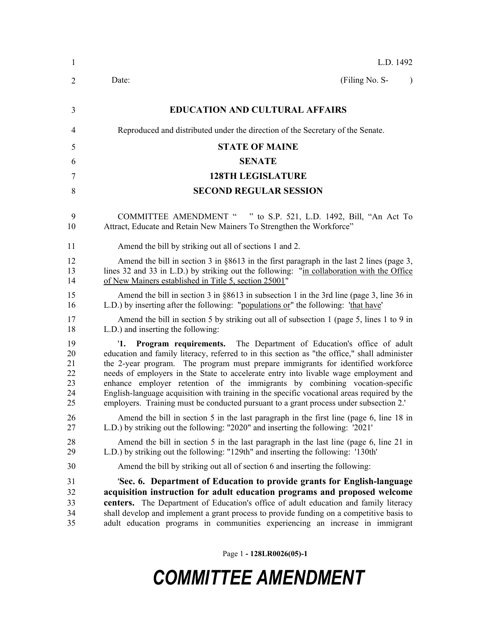| $\mathbf{1}$                           | L.D. 1492                                                                                                                                                                                                                                                                                                                                                                                                                                                                                                                                                                                                                                |
|----------------------------------------|------------------------------------------------------------------------------------------------------------------------------------------------------------------------------------------------------------------------------------------------------------------------------------------------------------------------------------------------------------------------------------------------------------------------------------------------------------------------------------------------------------------------------------------------------------------------------------------------------------------------------------------|
| 2                                      | (Filing No. S-<br>Date:<br>$\lambda$                                                                                                                                                                                                                                                                                                                                                                                                                                                                                                                                                                                                     |
| 3                                      | <b>EDUCATION AND CULTURAL AFFAIRS</b>                                                                                                                                                                                                                                                                                                                                                                                                                                                                                                                                                                                                    |
| 4                                      | Reproduced and distributed under the direction of the Secretary of the Senate.                                                                                                                                                                                                                                                                                                                                                                                                                                                                                                                                                           |
| 5                                      | <b>STATE OF MAINE</b>                                                                                                                                                                                                                                                                                                                                                                                                                                                                                                                                                                                                                    |
| 6                                      | <b>SENATE</b>                                                                                                                                                                                                                                                                                                                                                                                                                                                                                                                                                                                                                            |
| 7                                      | <b>128TH LEGISLATURE</b>                                                                                                                                                                                                                                                                                                                                                                                                                                                                                                                                                                                                                 |
| 8                                      | <b>SECOND REGULAR SESSION</b>                                                                                                                                                                                                                                                                                                                                                                                                                                                                                                                                                                                                            |
| 9<br>10                                | COMMITTEE AMENDMENT " " to S.P. 521, L.D. 1492, Bill, "An Act To<br>Attract, Educate and Retain New Mainers To Strengthen the Workforce"                                                                                                                                                                                                                                                                                                                                                                                                                                                                                                 |
| 11                                     | Amend the bill by striking out all of sections 1 and 2.                                                                                                                                                                                                                                                                                                                                                                                                                                                                                                                                                                                  |
| 12<br>13<br>14                         | Amend the bill in section 3 in $\S 8613$ in the first paragraph in the last 2 lines (page 3,<br>lines 32 and 33 in L.D.) by striking out the following: "in collaboration with the Office<br>of New Mainers established in Title 5, section 25001"                                                                                                                                                                                                                                                                                                                                                                                       |
| 15<br>16                               | Amend the bill in section 3 in $\S 8613$ in subsection 1 in the 3rd line (page 3, line 36 in<br>L.D.) by inserting after the following: "populations or" the following: 'that have'                                                                                                                                                                                                                                                                                                                                                                                                                                                      |
| 17<br>18                               | Amend the bill in section 5 by striking out all of subsection 1 (page 5, lines 1 to 9 in<br>L.D.) and inserting the following:                                                                                                                                                                                                                                                                                                                                                                                                                                                                                                           |
| 19<br>20<br>21<br>22<br>23<br>24<br>25 | Program requirements. The Department of Education's office of adult<br>$\mathbf{1}$ .<br>education and family literacy, referred to in this section as "the office," shall administer<br>the 2-year program. The program must prepare immigrants for identified workforce<br>needs of employers in the State to accelerate entry into livable wage employment and<br>enhance employer retention of the immigrants by combining vocation-specific<br>English-language acquisition with training in the specific vocational areas required by the<br>employers. Training must be conducted pursuant to a grant process under subsection 2. |
| 26<br>27                               | Amend the bill in section 5 in the last paragraph in the first line (page 6, line 18 in<br>L.D.) by striking out the following: "2020" and inserting the following: '2021'                                                                                                                                                                                                                                                                                                                                                                                                                                                               |
| 28<br>29                               | Amend the bill in section 5 in the last paragraph in the last line (page 6, line 21 in<br>L.D.) by striking out the following: "129th" and inserting the following: '130th'                                                                                                                                                                                                                                                                                                                                                                                                                                                              |
| 30                                     | Amend the bill by striking out all of section 6 and inserting the following:                                                                                                                                                                                                                                                                                                                                                                                                                                                                                                                                                             |
| 31<br>32<br>33<br>34<br>35             | 'Sec. 6. Department of Education to provide grants for English-language<br>acquisition instruction for adult education programs and proposed welcome<br>centers. The Department of Education's office of adult education and family literacy<br>shall develop and implement a grant process to provide funding on a competitive basis to<br>adult education programs in communities experiencing an increase in immigrant                                                                                                                                                                                                                |

Page 1 **- 128LR0026(05)-1**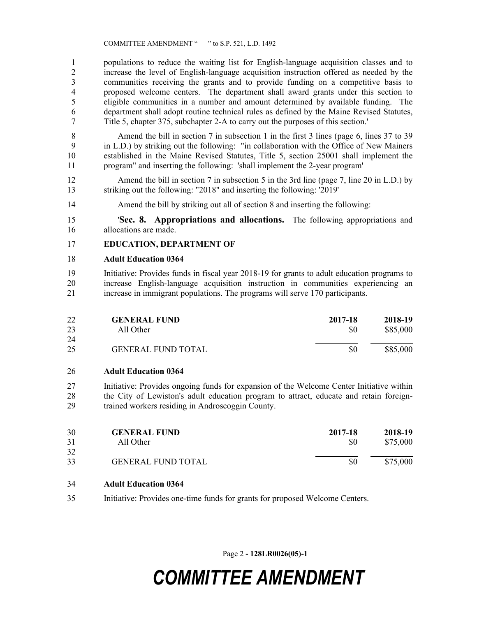populations to reduce the waiting list for English-language acquisition classes and to 2 increase the level of English-language acquisition instruction offered as needed by the communities receiving the grants and to provide funding on a competitive basis to communities receiving the grants and to provide funding on a competitive basis to proposed welcome centers. The department shall award grants under this section to eligible communities in a number and amount determined by available funding. The department shall adopt routine technical rules as defined by the Maine Revised Statutes, Title 5, chapter 375, subchapter 2-A to carry out the purposes of this section.'

 Amend the bill in section 7 in subsection 1 in the first 3 lines (page 6, lines 37 to 39 in L.D.) by striking out the following: "in collaboration with the Office of New Mainers established in the Maine Revised Statutes, Title 5, section 25001 shall implement the program" and inserting the following: 'shall implement the 2-year program'

12 Amend the bill in section 7 in subsection 5 in the 3rd line (page 7, line 20 in L.D.) by striking out the following: "2018" and inserting the following: '2019'

Amend the bill by striking out all of section 8 and inserting the following:

 '**Sec. 8. Appropriations and allocations.** The following appropriations and allocations are made.

### **EDUCATION, DEPARTMENT OF**

#### **Adult Education 0364**

 Initiative: Provides funds in fiscal year 2018-19 for grants to adult education programs to increase English-language acquisition instruction in communities experiencing an increase in immigrant populations. The programs will serve 170 participants.

| 22 | <b>GENERAL FUND</b>       | 2017-18 | 2018-19  |
|----|---------------------------|---------|----------|
| 23 | All Other                 | \$0     | \$85,000 |
| 24 |                           |         |          |
| 25 | <b>GENERAL FUND TOTAL</b> | \$0     | \$85,000 |

#### **Adult Education 0364**

 Initiative: Provides ongoing funds for expansion of the Welcome Center Initiative within 28 the City of Lewiston's adult education program to attract, educate and retain foreign-trained workers residing in Androscoggin County.

| 30<br>31 | <b>GENERAL FUND</b><br>All Other | 2017-18<br>SO | 2018-19<br>\$75,000 |
|----------|----------------------------------|---------------|---------------------|
| 32       |                                  |               |                     |
| 33       | <b>GENERAL FUND TOTAL</b>        | \$0           | \$75,000            |

### **Adult Education 0364**

Initiative: Provides one-time funds for grants for proposed Welcome Centers.

Page 2 **- 128LR0026(05)-1**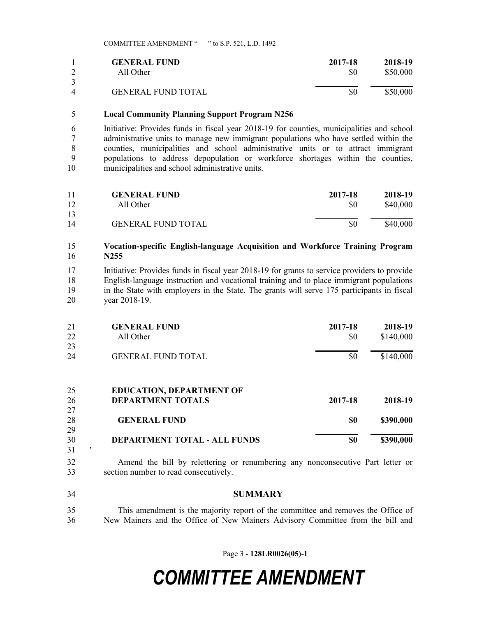|   | <b>GENERAL FUND</b>       | 2017-18 | 2018-19  |
|---|---------------------------|---------|----------|
|   | All Other                 | \$0     | \$50,000 |
| 4 | <b>GENERAL FUND TOTAL</b> | \$0     | \$50,000 |

### **Local Community Planning Support Program N256**

 Initiative: Provides funds in fiscal year 2018-19 for counties, municipalities and school administrative units to manage new immigrant populations who have settled within the counties, municipalities and school administrative units or to attract immigrant populations to address depopulation or workforce shortages within the counties, municipalities and school administrative units.

| 11 | <b>GENERAL FUND</b>       | 2017-18 | 2018-19  |
|----|---------------------------|---------|----------|
| 12 | All Other                 | \$0     | \$40,000 |
| 13 |                           |         |          |
| 14 | <b>GENERAL FUND TOTAL</b> | \$0     | \$40,000 |

### **Vocation-specific English-language Acquisition and Workforce Training Program N255**

 Initiative: Provides funds in fiscal year 2018-19 for grants to service providers to provide English-language instruction and vocational training and to place immigrant populations in the State with employers in the State. The grants will serve 175 participants in fiscal year 2018-19.

| 21       | <b>GENERAL FUND</b>                                         | 2017-18 | 2018-19   |
|----------|-------------------------------------------------------------|---------|-----------|
| 22       | All Other                                                   | \$0     | \$140,000 |
| 23       |                                                             |         |           |
| 24       | <b>GENERAL FUND TOTAL</b>                                   | \$0     | \$140,000 |
| 25<br>26 | <b>EDUCATION, DEPARTMENT OF</b><br><b>DEPARTMENT TOTALS</b> | 2017-18 | 2018-19   |
| 27       |                                                             |         |           |
| 28       | <b>GENERAL FUND</b>                                         | \$0     | \$390,000 |
| 29       |                                                             |         |           |
| 30       | DEPARTMENT TOTAL - ALL FUNDS                                | \$0     | \$390,000 |
| 31       |                                                             |         |           |

- Amend the bill by relettering or renumbering any nonconsecutive Part letter or section number to read consecutively.
- **SUMMARY**
- This amendment is the majority report of the committee and removes the Office of New Mainers and the Office of New Mainers Advisory Committee from the bill and

Page 3 **- 128LR0026(05)-1**